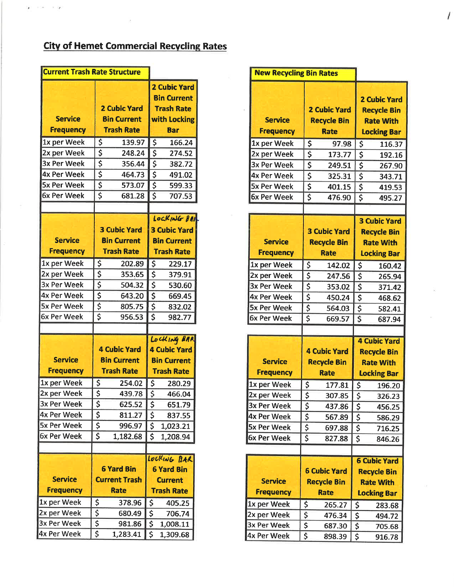## **City of Hemet Commercial Recycling Rates**

| <b>Current Trash Rate Structure</b> |                        |                                           |                       |                                                                                |
|-------------------------------------|------------------------|-------------------------------------------|-----------------------|--------------------------------------------------------------------------------|
| <b>Service</b>                      |                        | <b>2 Cubic Yard</b><br><b>Bin Current</b> |                       | <b>2 Cubic Yard</b><br><b>Bin Current</b><br><b>Trash Rate</b><br>with Locking |
| <b>Frequency</b>                    |                        | <b>Trash Rate</b>                         |                       | <b>Bar</b>                                                                     |
| 1x per Week                         | \$                     | 139.97                                    | \$                    | 166.24                                                                         |
| 2x per Week                         | \$                     | 248.24                                    | \$                    | 274.52                                                                         |
| 3x Per Week                         | \$                     | 356.44                                    | \$                    | 382.72                                                                         |
| <b>4x Per Week</b>                  | \$                     | 464.73                                    | \$                    | 491.02                                                                         |
| <b>5x Per Week</b>                  | \$                     | 573.07                                    | \$                    | 599.33                                                                         |
| 6x Per Week                         | \$                     | 681.28                                    | \$                    | 707.53                                                                         |
|                                     |                        |                                           |                       |                                                                                |
|                                     |                        |                                           |                       | LOCKING BAI                                                                    |
|                                     |                        | <b>3 Cubic Yard</b>                       |                       | <b>3 Cubic Yard</b>                                                            |
| <b>Service</b>                      |                        | <b>Bin Current</b>                        |                       | <b>Bin Current</b>                                                             |
| <b>Frequency</b>                    |                        | <b>Trash Rate</b>                         |                       | <b>Trash Rate</b>                                                              |
| 1x per Week                         | \$                     | 202.89                                    | \$                    | 229.17                                                                         |
| 2x per Week                         | \$                     | 353.65                                    | \$                    | 379.91                                                                         |
| 3x Per Week                         | \$                     | 504.32                                    | \$                    | 530.60                                                                         |
| 4x Per Week                         | \$                     | 643.20                                    | \$                    | 669.45                                                                         |
| <b>5x Per Week</b>                  | \$                     | 805.75                                    | \$                    | 832.02                                                                         |
| 6x Per Week                         | \$                     | 956.53                                    | \$                    | 982.77                                                                         |
|                                     |                        |                                           |                       |                                                                                |
|                                     |                        |                                           |                       | LOCKING BAR                                                                    |
|                                     |                        | <b>4 Cubic Yard</b>                       |                       | <b>4 Cubic Yard</b>                                                            |
| <b>Service</b>                      |                        | <b>Bin Current</b>                        |                       | <b>Bin Current</b>                                                             |
| <b>Frequency</b>                    |                        | <b>Trash Rate</b>                         |                       | <b>Trash Rate</b>                                                              |
| 1x per Week                         | \$                     | 254.02                                    | \$                    | 280.29                                                                         |
| 2x per Week                         | $\overline{\varsigma}$ | 439.78                                    | $\overline{\epsilon}$ | 466.04                                                                         |
| 3x Per Week                         | \$                     | 625.52                                    | \$                    | 651.79                                                                         |
| 4x Per Week                         | $\frac{5}{5}$          | 811.27                                    | \$                    | 837.55                                                                         |
| 5x Per Week                         |                        | 996.97                                    | \$                    | 1,023.21                                                                       |
| 6x Per Week                         | \$                     | 1,182.68                                  | \$                    | 1,208.94                                                                       |
|                                     |                        |                                           |                       |                                                                                |
|                                     |                        |                                           |                       | LOCKING BAR                                                                    |
|                                     |                        | <b>6 Yard Bin</b>                         |                       | <b>6 Yard Bin</b>                                                              |
| <b>Service</b>                      |                        | <b>Current Trash</b>                      |                       | <b>Current</b>                                                                 |
| <b>Frequency</b>                    |                        | <b>Rate</b>                               |                       | <b>Trash Rate</b>                                                              |
| 1x per Week                         | \$                     | 378.96                                    | \$                    | 405.25                                                                         |
| 2x per Week                         | \$                     | 680.49                                    | \$                    | 706.74                                                                         |
| 3x Per Week                         | \$                     | 981.86                                    | \$                    | 1,008.11                                                                       |
| 4x Per Week                         | \$                     | 1,283.41                                  | $\varsigma$           | 1,309.68                                                                       |

| <b>New Recycling Bin Rates</b>     |                                                          |                     |                         |                                                                                     |  |
|------------------------------------|----------------------------------------------------------|---------------------|-------------------------|-------------------------------------------------------------------------------------|--|
| <b>Service</b><br><b>Frequency</b> | <b>2 Cubic Yard</b><br><b>Recycle Bin</b><br><b>Rate</b> |                     |                         | <b>2 Cubic Yard</b><br><b>Recycle Bin</b><br><b>Rate With</b><br><b>Locking Bar</b> |  |
| 1x per Week                        | \$                                                       | 97.98               | \$                      | 116.37                                                                              |  |
| 2x per Week                        | \$                                                       | 173.77              | \$                      | 192.16                                                                              |  |
| 3x Per Week                        | \$                                                       | 249.51              | \$                      | 267.90                                                                              |  |
| 4x Per Week                        | \$                                                       | 325.31              | \$                      | 343.71                                                                              |  |
| 5x Per Week                        | \$<br>\$                                                 | 401.15              | \$                      | 419.53                                                                              |  |
| <b>6x Per Week</b>                 |                                                          | 476.90              | \$                      | 495.27                                                                              |  |
|                                    |                                                          |                     |                         |                                                                                     |  |
| <b>Service</b><br><b>Frequency</b> | <b>3 Cubic Yard</b><br><b>Recycle Bin</b>                |                     |                         | <b>3 Cubic Yard</b><br><b>Recycle Bin</b><br><b>Rate With</b>                       |  |
|                                    |                                                          | <b>Rate</b>         |                         | <b>Locking Bar</b>                                                                  |  |
| 1x per Week                        | \$                                                       | 142.02              | \$                      | 160.42                                                                              |  |
| 2x per Week                        | \$                                                       | 247.56              | \$                      | 265.94                                                                              |  |
| 3x Per Week                        | \$                                                       | 353.02              | \$                      | 371.42                                                                              |  |
| 4x Per Week                        | \$                                                       | 450.24              | \$                      | 468.62                                                                              |  |
| 5x Per Week                        | \$<br>\$                                                 | 564.03              | \$                      | 582.41                                                                              |  |
| <b>6x Per Week</b>                 |                                                          | 669.57              | \$                      | 687.94                                                                              |  |
|                                    |                                                          |                     |                         |                                                                                     |  |
|                                    |                                                          | <b>4 Cubic Yard</b> |                         | <b>4 Cubic Yard</b>                                                                 |  |
| <b>Service</b>                     |                                                          | <b>Recycle Bin</b>  |                         | <b>Recycle Bin</b>                                                                  |  |
| <b>Frequency</b>                   |                                                          | <b>Rate</b>         |                         | <b>Rate With</b>                                                                    |  |
|                                    |                                                          |                     |                         | <b>Locking Bar</b>                                                                  |  |
| 1x per Week                        | \$<br>$\overline{\boldsymbol{\varsigma}}$                | 177.81              | \$                      | 196.20                                                                              |  |
| 2x per Week                        |                                                          | 307.85              | $\overline{\mathsf{s}}$ | 326.23                                                                              |  |
| 3x Per Week                        | \$                                                       | 437.86              | \$                      | 456.25                                                                              |  |
| <b>4x Per Week</b>                 | \$                                                       | 567.89              | \$                      | 586.29                                                                              |  |
| 5x Per Week                        | \$                                                       | 697.88              | \$                      | 716.25                                                                              |  |
| 6x Per Week                        | \$                                                       | 827.88              | \$                      | 846.26                                                                              |  |
|                                    |                                                          |                     |                         |                                                                                     |  |
|                                    |                                                          |                     |                         | <b>6 Cubic Yard</b>                                                                 |  |
|                                    |                                                          | <b>6 Cubic Yard</b> |                         | <b>Recycle Bin</b>                                                                  |  |
| <b>Service</b>                     |                                                          | <b>Recycle Bin</b>  |                         | <b>Rate With</b>                                                                    |  |
| <b>Frequency</b>                   |                                                          | <b>Rate</b>         |                         | <b>Locking Bar</b>                                                                  |  |
| 1x per Week                        | \$                                                       | 265.27              | \$                      | 283.68                                                                              |  |
| 2x per Week                        | \$                                                       | 476.34              | \$                      | 494.72                                                                              |  |
| 3x Per Week                        | $\frac{5}{5}$                                            | 687.30              | \$                      | 705.68                                                                              |  |
| 4x Per Week                        |                                                          | 898.39              | \$                      | 916.78                                                                              |  |